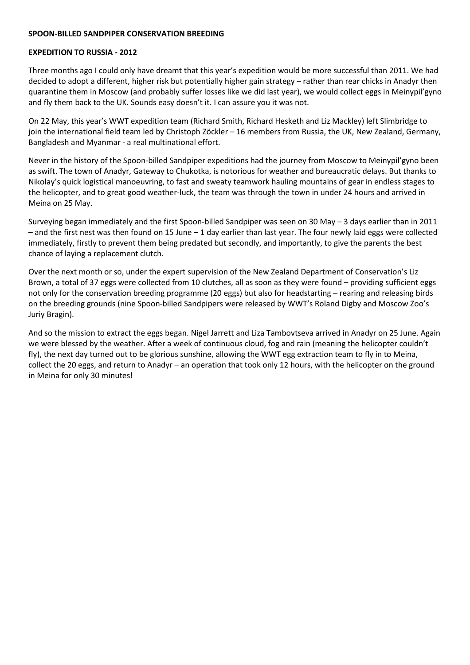## **SPOON-BILLED SANDPIPER CONSERVATION BREEDING**

## **EXPEDITION TO RUSSIA - 2012**

Three months ago I could only have dreamt that this year's expedition would be more successful than 2011. We had decided to adopt a different, higher risk but potentially higher gain strategy – rather than rear chicks in Anadyr then quarantine them in Moscow (and probably suffer losses like we did last year), we would collect eggs in Meinypil'gyno and fly them back to the UK. Sounds easy doesn't it. I can assure you it was not.

On 22 May, this year's WWT expedition team (Richard Smith, Richard Hesketh and Liz Mackley) left Slimbridge to join the international field team led by Christoph Zöckler – 16 members from Russia, the UK, New Zealand, Germany, Bangladesh and Myanmar - a real multinational effort.

Never in the history of the Spoon-billed Sandpiper expeditions had the journey from Moscow to Meinypil'gyno been as swift. The town of Anadyr, Gateway to Chukotka, is notorious for weather and bureaucratic delays. But thanks to Nikolay's quick logistical manoeuvring, to fast and sweaty teamwork hauling mountains of gear in endless stages to the helicopter, and to great good weather-luck, the team was through the town in under 24 hours and arrived in Meina on 25 May.

Surveying began immediately and the first Spoon-billed Sandpiper was seen on 30 May – 3 days earlier than in 2011  $-$  and the first nest was then found on 15 June  $-1$  day earlier than last year. The four newly laid eggs were collected immediately, firstly to prevent them being predated but secondly, and importantly, to give the parents the best chance of laying a replacement clutch.

Over the next month or so, under the expert supervision of the New Zealand Department of Conservation's Liz Brown, a total of 37 eggs were collected from 10 clutches, all as soon as they were found – providing sufficient eggs not only for the conservation breeding programme (20 eggs) but also for headstarting – rearing and releasing birds on the breeding grounds (nine Spoon-billed Sandpipers were released by WWT's Roland Digby and Moscow Zoo's Juriy Bragin).

And so the mission to extract the eggs began. Nigel Jarrett and Liza Tambovtseva arrived in Anadyr on 25 June. Again we were blessed by the weather. After a week of continuous cloud, fog and rain (meaning the helicopter couldn't fly), the next day turned out to be glorious sunshine, allowing the WWT egg extraction team to fly in to Meina, collect the 20 eggs, and return to Anadyr – an operation that took only 12 hours, with the helicopter on the ground in Meina for only 30 minutes!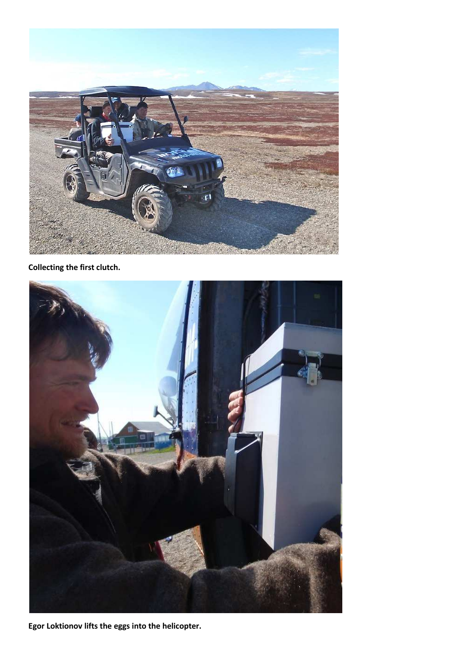

**Collecting the first clutch.** 



**Egor Loktionov lifts the eggs into the helicopter.**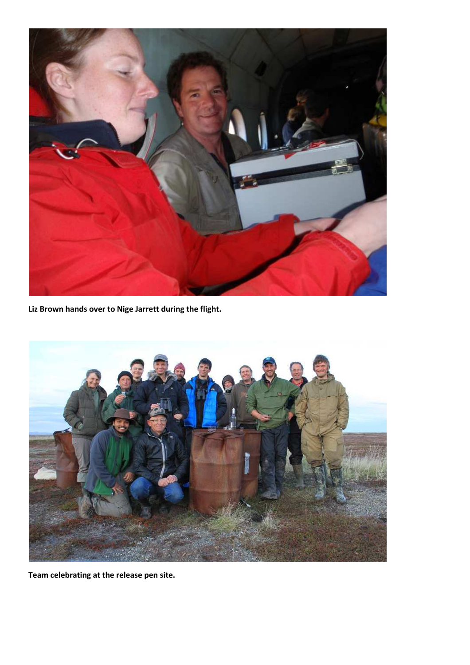

**Liz Brown hands over to Nige Jarrett during the flight.** 



**Team celebrating at the release pen site.**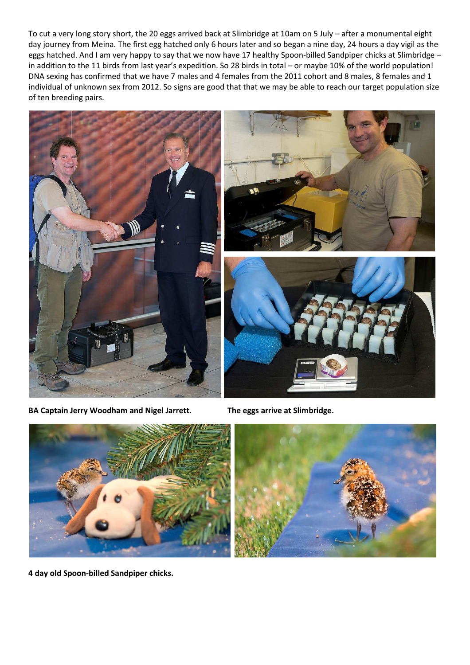To cut a very long story short, the 20 eggs arrived back at Slimbridge at 10am on 5 July – after a monumental eight day journey from Meina. The first egg hatched only 6 hours later and so began a nine day, 24 hours a day vigil as the eggs hatched. And I am very happy to say that we now have 17 healthy Spoon-billed Sandpiper chicks at Slimbridge in addition to the 11 birds from last year's expedition. So 28 birds in total – or maybe 10% of the world population! DNA sexing has confirmed that we have 7 males and 4 females from the 2011 cohort and 8 males, 8 females and 1 individual of unknown sex from 2012. So signs are good that that we may be able to reach our target population size of ten breeding pairs.



**BA Captain Jerry Woodham and Nigel Jarrett. The eggs arrive at Slimbridge.** 



**4 day old Spoon-billed Sandpiper chicks.**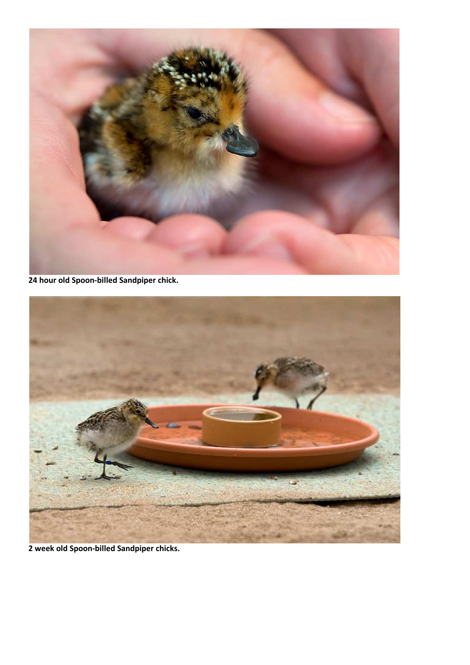

**24 hour old Spoon-billed Sandpiper chick.** 



**2 week old Spoon-billed Sandpiper chicks.**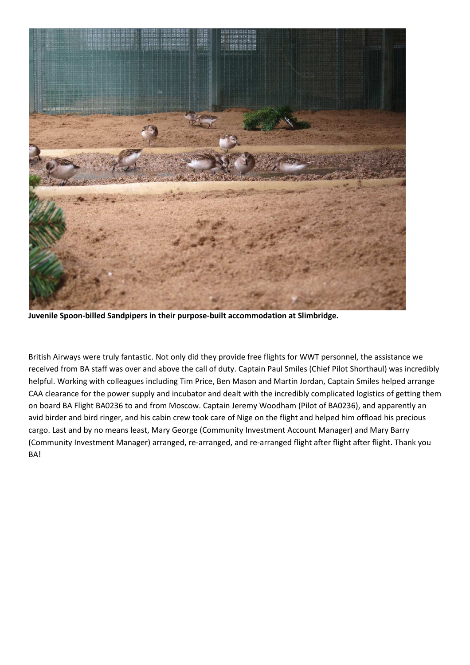

**Juvenile Spoon-billed Sandpipers in their purpose-built accommodation at Slimbridge.** 

British Airways were truly fantastic. Not only did they provide free flights for WWT personnel, the assistance we received from BA staff was over and above the call of duty. Captain Paul Smiles (Chief Pilot Shorthaul) was incredibly helpful. Working with colleagues including Tim Price, Ben Mason and Martin Jordan, Captain Smiles helped arrange CAA clearance for the power supply and incubator and dealt with the incredibly complicated logistics of getting them on board BA Flight BA0236 to and from Moscow. Captain Jeremy Woodham (Pilot of BA0236), and apparently an avid birder and bird ringer, and his cabin crew took care of Nige on the flight and helped him offload his precious cargo. Last and by no means least, Mary George (Community Investment Account Manager) and Mary Barry (Community Investment Manager) arranged, re-arranged, and re-arranged flight after flight after flight. Thank you BA!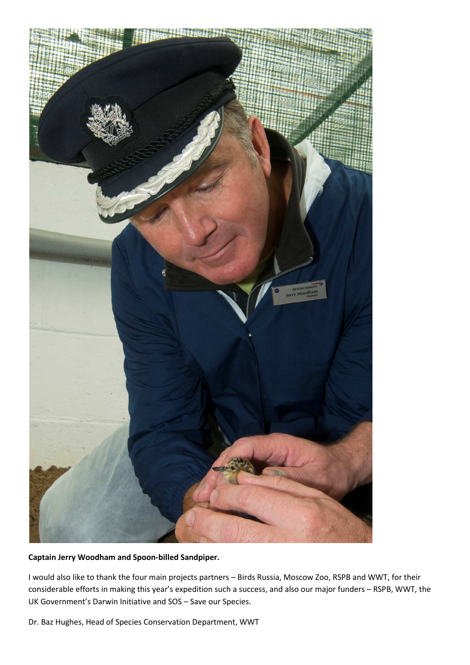

## **Captain Jerry Woodham and Spoon-billed Sandpiper.**

I would also like to thank the four main projects partners – Birds Russia, Moscow Zoo, RSPB and WWT, for their considerable efforts in making this year's expedition such a success, and also our major funders – RSPB, WWT, the UK Government's Darwin Initiative and SOS – Save our Species.

Dr. Baz Hughes, Head of Species Conservation Department, WWT